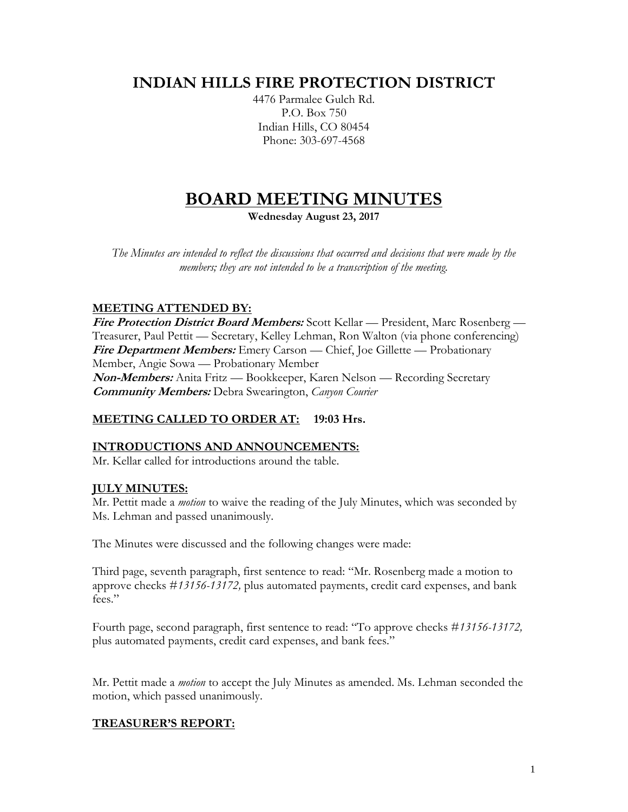# **INDIAN HILLS FIRE PROTECTION DISTRICT**

4476 Parmalee Gulch Rd. P.O. Box 750 Indian Hills, CO 80454 Phone: 303-697-4568

# **BOARD MEETING MINUTES**

**Wednesday August 23, 2017**

*The Minutes are intended to reflect the discussions that occurred and decisions that were made by the members; they are not intended to be a transcription of the meeting.*

# **MEETING ATTENDED BY:**

**Fire Protection District Board Members:** Scott Kellar — President, Marc Rosenberg — Treasurer, Paul Pettit — Secretary, Kelley Lehman, Ron Walton (via phone conferencing) Fire Department Members: Emery Carson — Chief, Joe Gillette — Probationary Member, Angie Sowa — Probationary Member **Non-Members:** Anita Fritz — Bookkeeper, Karen Nelson — Recording Secretary **Community Members:** Debra Swearington, *Canyon Courier*

# **MEETING CALLED TO ORDER AT: 19:03 Hrs.**

# **INTRODUCTIONS AND ANNOUNCEMENTS:**

Mr. Kellar called for introductions around the table.

# **JULY MINUTES:**

Mr. Pettit made a *motion* to waive the reading of the July Minutes, which was seconded by Ms. Lehman and passed unanimously.

The Minutes were discussed and the following changes were made:

Third page, seventh paragraph, first sentence to read: "Mr. Rosenberg made a motion to approve checks #*13156-13172,* plus automated payments, credit card expenses, and bank fees."

Fourth page, second paragraph, first sentence to read: "To approve checks #*13156-13172,*  plus automated payments, credit card expenses, and bank fees."

Mr. Pettit made a *motion* to accept the July Minutes as amended. Ms. Lehman seconded the motion, which passed unanimously.

# **TREASURER'S REPORT:**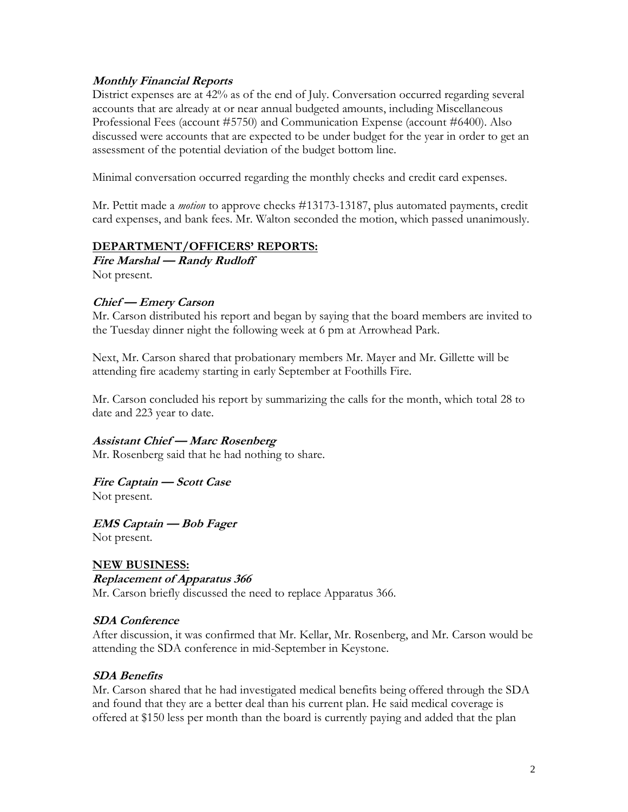#### **Monthly Financial Reports**

District expenses are at 42% as of the end of July. Conversation occurred regarding several accounts that are already at or near annual budgeted amounts, including Miscellaneous Professional Fees (account #5750) and Communication Expense (account #6400). Also discussed were accounts that are expected to be under budget for the year in order to get an assessment of the potential deviation of the budget bottom line.

Minimal conversation occurred regarding the monthly checks and credit card expenses.

Mr. Pettit made a *motion* to approve checks #13173-13187, plus automated payments, credit card expenses, and bank fees. Mr. Walton seconded the motion, which passed unanimously.

#### **DEPARTMENT/OFFICERS' REPORTS:**

**Fire Marshal — Randy Rudloff** Not present.

# **Chief — Emery Carson**

Mr. Carson distributed his report and began by saying that the board members are invited to the Tuesday dinner night the following week at 6 pm at Arrowhead Park.

Next, Mr. Carson shared that probationary members Mr. Mayer and Mr. Gillette will be attending fire academy starting in early September at Foothills Fire.

Mr. Carson concluded his report by summarizing the calls for the month, which total 28 to date and 223 year to date.

#### **Assistant Chief — Marc Rosenberg**

Mr. Rosenberg said that he had nothing to share.

#### **Fire Captain — Scott Case** Not present.

**EMS Captain — Bob Fager** Not present.

#### **NEW BUSINESS: Replacement of Apparatus 366**

Mr. Carson briefly discussed the need to replace Apparatus 366.

#### **SDA Conference**

After discussion, it was confirmed that Mr. Kellar, Mr. Rosenberg, and Mr. Carson would be attending the SDA conference in mid-September in Keystone.

#### **SDA Benefits**

Mr. Carson shared that he had investigated medical benefits being offered through the SDA and found that they are a better deal than his current plan. He said medical coverage is offered at \$150 less per month than the board is currently paying and added that the plan